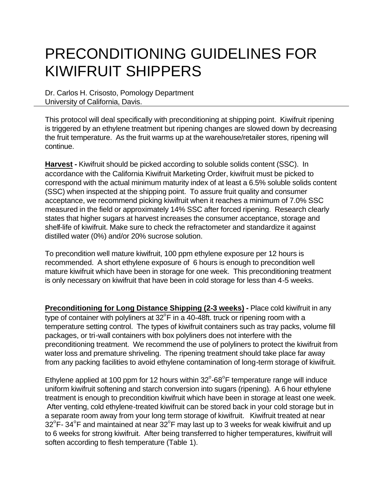# PRECONDITIONING GUIDELINES FOR KIWIFRUIT SHIPPERS

Dr. Carlos H. Crisosto, Pomology Department University of California, Davis.

This protocol will deal specifically with preconditioning at shipping point. Kiwifruit ripening is triggered by an ethylene treatment but ripening changes are slowed down by decreasing the fruit temperature. As the fruit warms up at the warehouse/retailer stores, ripening will continue.

**Harvest -** Kiwifruit should be picked according to soluble solids content (SSC). In accordance with the California Kiwifruit Marketing Order, kiwifruit must be picked to correspond with the actual minimum maturity index of at least a 6.5% soluble solids content (SSC) when inspected at the shipping point. To assure fruit quality and consumer acceptance, we recommend picking kiwifruit when it reaches a minimum of 7.0% SSC measured in the field or approximately 14% SSC after forced ripening. Research clearly states that higher sugars at harvest increases the consumer acceptance, storage and shelf-life of kiwifruit. Make sure to check the refractometer and standardize it against distilled water (0%) and/or 20% sucrose solution.

To precondition well mature kiwifruit, 100 ppm ethylene exposure per 12 hours is recommended. A short ethylene exposure of 6 hours is enough to precondition well mature kiwifruit which have been in storage for one week. This preconditioning treatment is only necessary on kiwifruit that have been in cold storage for less than 4-5 weeks.

**Preconditioning for Long Distance Shipping (2-3 weeks) -** Place cold kiwifruit in any type of container with polyliners at  $32^{\circ}$ F in a 40-48ft. truck or ripening room with a temperature setting control. The types of kiwifruit containers such as tray packs, volume fill packages, or tri-wall containers with box polyliners does not interfere with the preconditioning treatment. We recommend the use of polyliners to protect the kiwifruit from water loss and premature shriveling. The ripening treatment should take place far away from any packing facilities to avoid ethylene contamination of long-term storage of kiwifruit.

Ethylene applied at 100 ppm for 12 hours within  $32^{\circ}$ -68 $^{\circ}$ F temperature range will induce uniform kiwifruit softening and starch conversion into sugars (ripening). A 6 hour ethylene treatment is enough to precondition kiwifruit which have been in storage at least one week. After venting, cold ethylene-treated kiwifruit can be stored back in your cold storage but in a separate room away from your long term storage of kiwifruit. Kiwifruit treated at near 32°F-34°F and maintained at near 32°F may last up to 3 weeks for weak kiwifruit and up to 6 weeks for strong kiwifruit. After being transferred to higher temperatures, kiwifruit will soften according to flesh temperature (Table 1).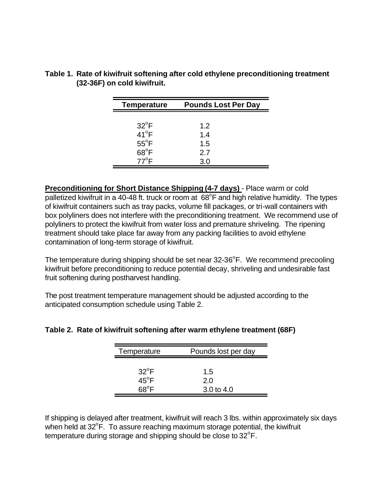| <b>Temperature</b> | <b>Pounds Lost Per Day</b> |
|--------------------|----------------------------|
|                    |                            |
| $32^{\circ}$ F     | 1.2                        |
| $41^{\circ}$ F     | 1.4                        |
| $55^{\circ}$ F     | 1.5                        |
| $68^{\circ}$ F     | 2.7                        |
| $77^{\circ}$ F     | 3.0                        |

**Table 1. Rate of kiwifruit softening after cold ethylene preconditioning treatment (32-36F) on cold kiwifruit.**

**Preconditioning for Short Distance Shipping (4-7 days)** - Place warm or cold palletized kiwifruit in a 40-48 ft. truck or room at  $68^{\circ}$ F and high relative humidity. The types of kiwifruit containers such as tray packs, volume fill packages, or tri-wall containers with box polyliners does not interfere with the preconditioning treatment. We recommend use of polyliners to protect the kiwifruit from water loss and premature shriveling. The ripening treatment should take place far away from any packing facilities to avoid ethylene contamination of long-term storage of kiwifruit.

The temperature during shipping should be set near  $32-36^{\circ}$ F. We recommend precooling kiwifruit before preconditioning to reduce potential decay, shriveling and undesirable fast fruit softening during postharvest handling.

The post treatment temperature management should be adjusted according to the anticipated consumption schedule using Table 2.

| Temperature                      | Pounds lost per day        |
|----------------------------------|----------------------------|
| $32^{\circ}$ F<br>$45^{\circ}$ F | 1.5<br>2.0<br>3.0 to $4.0$ |

## **Table 2. Rate of kiwifruit softening after warm ethylene treatment (68F)**

If shipping is delayed after treatment, kiwifruit will reach 3 lbs. within approximately six days when held at  $32^{\circ}$ F. To assure reaching maximum storage potential, the kiwifruit temperature during storage and shipping should be close to  $32^{\circ}$ F.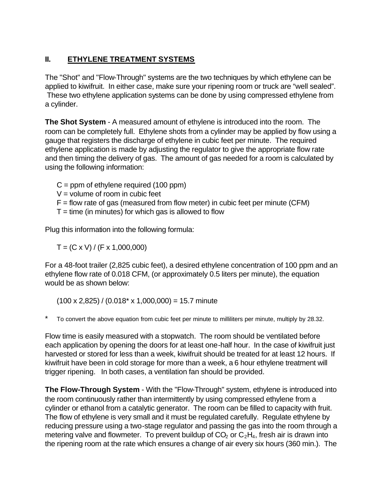# **II. ETHYLENE TREATMENT SYSTEMS**

The "Shot" and "Flow-Through" systems are the two techniques by which ethylene can be applied to kiwifruit. In either case, make sure your ripening room or truck are "well sealed". These two ethylene application systems can be done by using compressed ethylene from a cylinder.

**The Shot System** - A measured amount of ethylene is introduced into the room. The room can be completely full. Ethylene shots from a cylinder may be applied by flow using a gauge that registers the discharge of ethylene in cubic feet per minute. The required ethylene application is made by adjusting the regulator to give the appropriate flow rate and then timing the delivery of gas. The amount of gas needed for a room is calculated by using the following information:

 $C =$  ppm of ethylene required (100 ppm)

 $V =$  volume of room in cubic feet

 $F =$  flow rate of gas (measured from flow meter) in cubic feet per minute (CFM)

 $T =$  time (in minutes) for which gas is allowed to flow

Plug this information into the following formula:

 $T = (C \times V) / (F \times 1,000,000)$ 

For a 48-foot trailer (2,825 cubic feet), a desired ethylene concentration of 100 ppm and an ethylene flow rate of 0.018 CFM, (or approximately 0.5 liters per minute), the equation would be as shown below:

 $(100 \times 2,825)$  /  $(0.018* \times 1,000,000) = 15.7$  minute

To convert the above equation from cubic feet per minute to milliliters per minute, multiply by 28.32.

Flow time is easily measured with a stopwatch. The room should be ventilated before each application by opening the doors for at least one-half hour. In the case of kiwifruit just harvested or stored for less than a week, kiwifruit should be treated for at least 12 hours. If kiwifruit have been in cold storage for more than a week, a 6 hour ethylene treatment will trigger ripening. In both cases, a ventilation fan should be provided.

**The Flow-Through System** - With the "Flow-Through" system, ethylene is introduced into the room continuously rather than intermittently by using compressed ethylene from a cylinder or ethanol from a catalytic generator. The room can be filled to capacity with fruit. The flow of ethylene is very small and it must be regulated carefully. Regulate ethylene by reducing pressure using a two-stage regulator and passing the gas into the room through a metering valve and flowmeter. To prevent buildup of  $CO<sub>2</sub>$  or  $C<sub>2</sub>H<sub>4</sub>$ , fresh air is drawn into the ripening room at the rate which ensures a change of air every six hours (360 min.). The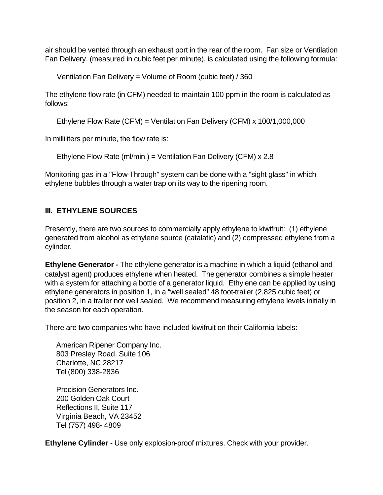air should be vented through an exhaust port in the rear of the room. Fan size or Ventilation Fan Delivery, (measured in cubic feet per minute), is calculated using the following formula:

Ventilation Fan Delivery = Volume of Room (cubic feet) / 360

The ethylene flow rate (in CFM) needed to maintain 100 ppm in the room is calculated as follows:

Ethylene Flow Rate (CFM) = Ventilation Fan Delivery (CFM) x 100/1,000,000

In milliliters per minute, the flow rate is:

Ethylene Flow Rate (ml/min.) = Ventilation Fan Delivery (CFM) x 2.8

Monitoring gas in a "Flow-Through" system can be done with a "sight glass" in which ethylene bubbles through a water trap on its way to the ripening room.

### **III. ETHYLENE SOURCES**

Presently, there are two sources to commercially apply ethylene to kiwifruit: (1) ethylene generated from alcohol as ethylene source (catalatic) and (2) compressed ethylene from a cylinder.

**Ethylene Generator -** The ethylene generator is a machine in which a liquid (ethanol and catalyst agent) produces ethylene when heated. The generator combines a simple heater with a system for attaching a bottle of a generator liquid. Ethylene can be applied by using ethylene generators in position 1, in a "well sealed" 48 foot-trailer (2,825 cubic feet) or position 2, in a trailer not well sealed. We recommend measuring ethylene levels initially in the season for each operation.

There are two companies who have included kiwifruit on their California labels:

American Ripener Company Inc. 803 Presley Road, Suite 106 Charlotte, NC 28217 Tel (800) 338-2836

Precision Generators Inc. 200 Golden Oak Court Reflections II, Suite 117 Virginia Beach, VA 23452 Tel (757) 498- 4809

**Ethylene Cylinder** - Use only explosion-proof mixtures. Check with your provider.